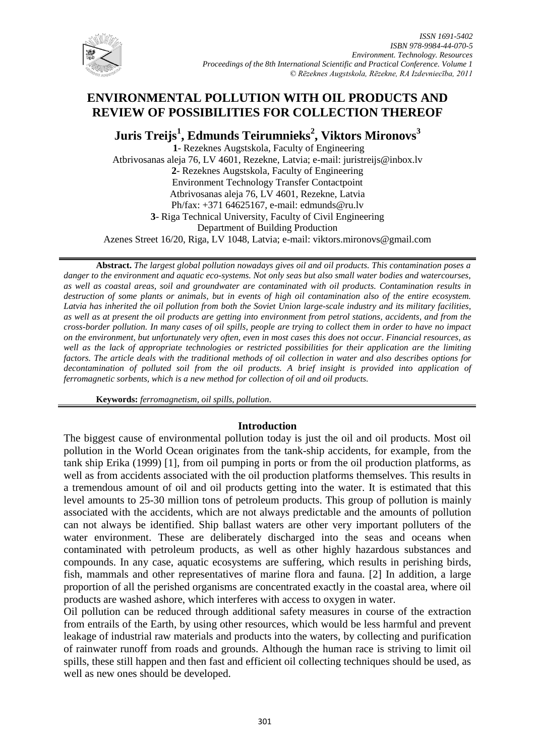

# **ENVIRONMENTAL POLLUTION WITH OIL PRODUCTS AND REVIEW OF POSSIBILITIES FOR COLLECTION THEREOF**

**Juris Treijs<sup>1</sup> , Edmunds Teirumnieks<sup>2</sup> , Viktors Mironovs<sup>3</sup>**

**1**- Rezeknes Augstskola, Faculty of Engineering Atbrivosanas aleja 76, LV 4601, Rezekne, Latvia; e-mail: juristreijs@inbox.lv **2**- Rezeknes Augstskola, Faculty of Engineering Environment Technology Transfer Contactpoint Atbrivosanas aleja 76, LV 4601, Rezekne, Latvia Ph/fax: +371 64625167, e-mail: edmunds@ru.lv **3**- Riga Technical University, Faculty of Civil Engineering Department of Building Production Azenes Street 16/20, Riga, LV 1048, Latvia; e-mail: viktors.mironovs@gmail.com

**Abstract.** *The largest global pollution nowadays gives oil and oil products. This contamination poses a danger to the environment and aquatic eco-systems. Not only seas but also small water bodies and watercourses, as well as coastal areas, soil and groundwater are contaminated with oil products. Contamination results in destruction of some plants or animals, but in events of high oil contamination also of the entire ecosystem. Latvia has inherited the oil pollution from both the Soviet Union large-scale industry and its military facilities, as well as at present the oil products are getting into environment from petrol stations, accidents, and from the cross-border pollution. In many cases of oil spills, people are trying to collect them in order to have no impact on the environment, but unfortunately very often, even in most cases this does not occur. Financial resources, as well as the lack of appropriate technologies or restricted possibilities for their application are the limiting factors. The article deals with the traditional methods of oil collection in water and also describes options for decontamination of polluted soil from the oil products. A brief insight is provided into application of ferromagnetic sorbents, which is a new method for collection of oil and oil products.* 

**Keywords:** *ferromagnetism, oil spills, pollution.*

# **Introduction**

The biggest cause of environmental pollution today is just the oil and oil products. Most oil pollution in the World Ocean originates from the tank-ship accidents, for example, from the tank ship Erika (1999) [1], from oil pumping in ports or from the oil production platforms, as well as from accidents associated with the oil production platforms themselves. This results in a tremendous amount of oil and oil products getting into the water. It is estimated that this level amounts to 25-30 million tons of petroleum products. This group of pollution is mainly associated with the accidents, which are not always predictable and the amounts of pollution can not always be identified. Ship ballast waters are other very important polluters of the water environment. These are deliberately discharged into the seas and oceans when contaminated with petroleum products, as well as other highly hazardous substances and compounds. In any case, aquatic ecosystems are suffering, which results in perishing birds, fish, mammals and other representatives of marine flora and fauna. [2] In addition, a large proportion of all the perished organisms are concentrated exactly in the coastal area, where oil products are washed ashore, which interferes with access to oxygen in water.

Oil pollution can be reduced through additional safety measures in course of the extraction from entrails of the Earth, by using other resources, which would be less harmful and prevent leakage of industrial raw materials and products into the waters, by collecting and purification of rainwater runoff from roads and grounds. Although the human race is striving to limit oil spills, these still happen and then fast and efficient oil collecting techniques should be used, as well as new ones should be developed.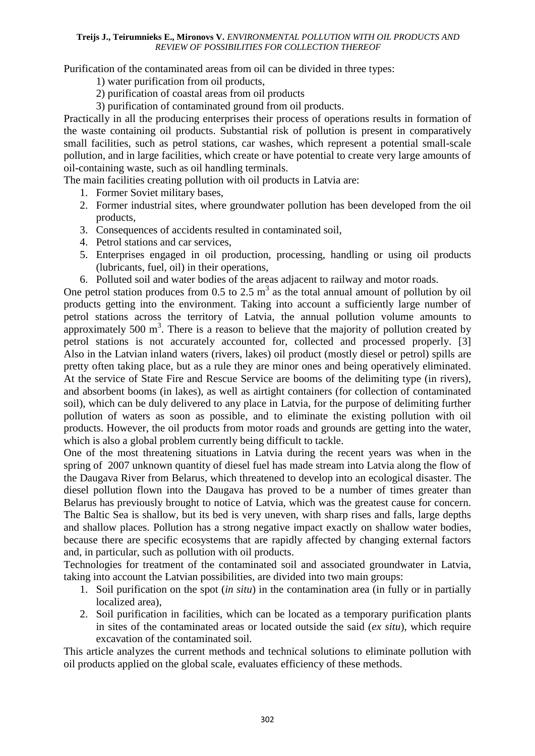Purification of the contaminated areas from oil can be divided in three types:

1) water purification from oil products,

- 2) purification of coastal areas from oil products
- 3) purification of contaminated ground from oil products.

Practically in all the producing enterprises their process of operations results in formation of the waste containing oil products. Substantial risk of pollution is present in comparatively small facilities, such as petrol stations, car washes, which represent a potential small-scale pollution, and in large facilities, which create or have potential to create very large amounts of oil-containing waste, such as oil handling terminals.

The main facilities creating pollution with oil products in Latvia are:

- 1. Former Soviet military bases,
- 2. Former industrial sites, where groundwater pollution has been developed from the oil products,
- 3. Consequences of accidents resulted in contaminated soil,
- 4. Petrol stations and car services,
- 5. Enterprises engaged in oil production, processing, handling or using oil products (lubricants, fuel, oil) in their operations,
- 6. Polluted soil and water bodies of the areas adjacent to railway and motor roads.

One petrol station produces from 0.5 to 2.5  $m<sup>3</sup>$  as the total annual amount of pollution by oil products getting into the environment. Taking into account a sufficiently large number of petrol stations across the territory of Latvia, the annual pollution volume amounts to approximately 500  $m<sup>3</sup>$ . There is a reason to believe that the majority of pollution created by petrol stations is not accurately accounted for, collected and processed properly. [3] Also in the Latvian inland waters (rivers, lakes) oil product (mostly diesel or petrol) spills are pretty often taking place, but as a rule they are minor ones and being operatively eliminated. At the service of State Fire and Rescue Service are booms of the delimiting type (in rivers), and absorbent booms (in lakes), as well as airtight containers (for collection of contaminated soil), which can be duly delivered to any place in Latvia, for the purpose of delimiting further pollution of waters as soon as possible, and to eliminate the existing pollution with oil products. However, the oil products from motor roads and grounds are getting into the water, which is also a global problem currently being difficult to tackle.

One of the most threatening situations in Latvia during the recent years was when in the spring of 2007 unknown quantity of diesel fuel has made stream into Latvia along the flow of the Daugava River from Belarus, which threatened to develop into an ecological disaster. The diesel pollution flown into the Daugava has proved to be a number of times greater than Belarus has previously brought to notice of Latvia, which was the greatest cause for concern. The Baltic Sea is shallow, but its bed is very uneven, with sharp rises and falls, large depths and shallow places. Pollution has a strong negative impact exactly on shallow water bodies, because there are specific ecosystems that are rapidly affected by changing external factors and, in particular, such as pollution with oil products.

Technologies for treatment of the contaminated soil and associated groundwater in Latvia, taking into account the Latvian possibilities, are divided into two main groups:

- 1. Soil purification on the spot (*in situ*) in the contamination area (in fully or in partially localized area),
- 2. Soil purification in facilities, which can be located as a temporary purification plants in sites of the contaminated areas or located outside the said (*ex situ*), which require excavation of the contaminated soil.

This article analyzes the current methods and technical solutions to eliminate pollution with oil products applied on the global scale, evaluates efficiency of these methods.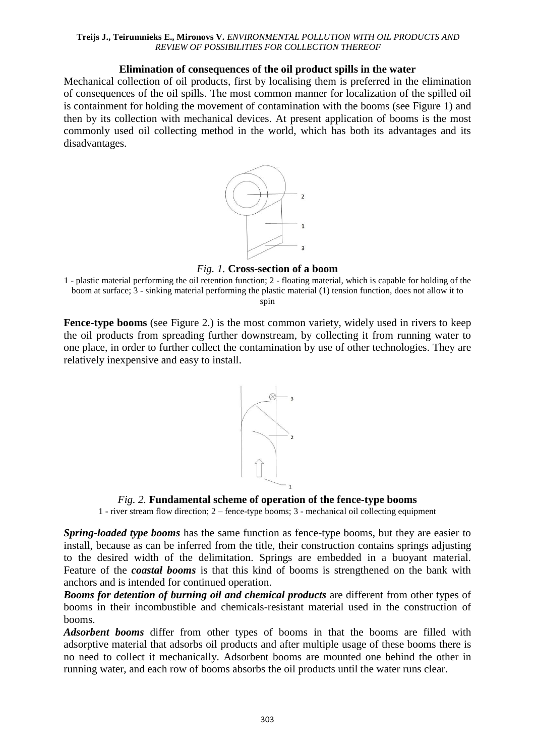# **Elimination of consequences of the oil product spills in the water**

Mechanical collection of oil products, first by localising them is preferred in the elimination of consequences of the oil spills. The most common manner for localization of the spilled oil is containment for holding the movement of contamination with the booms (see Figure 1) and then by its collection with mechanical devices. At present application of booms is the most commonly used oil collecting method in the world, which has both its advantages and its disadvantages.



*Fig. 1.* **Cross-section of a boom**

**Fence-type booms** (see Figure 2.) is the most common variety, widely used in rivers to keep the oil products from spreading further downstream, by collecting it from running water to one place, in order to further collect the contamination by use of other technologies. They are relatively inexpensive and easy to install.



*Fig. 2.* **Fundamental scheme of operation of the fence-type booms**

1 - river stream flow direction; 2 – fence-type booms; 3 - mechanical oil collecting equipment

*Spring-loaded type booms* has the same function as fence-type booms, but they are easier to install, because as can be inferred from the title, their construction contains springs adjusting to the desired width of the delimitation. Springs are embedded in a buoyant material. Feature of the *coastal booms* is that this kind of booms is strengthened on the bank with anchors and is intended for continued operation.

*Booms for detention of burning oil and chemical products* are different from other types of booms in their incombustible and chemicals-resistant material used in the construction of booms.

*Adsorbent booms* differ from other types of booms in that the booms are filled with adsorptive material that adsorbs oil products and after multiple usage of these booms there is no need to collect it mechanically. Adsorbent booms are mounted one behind the other in running water, and each row of booms absorbs the oil products until the water runs clear.

<sup>1 -</sup> plastic material performing the oil retention function; 2 - floating material, which is capable for holding of the boom at surface; 3 - sinking material performing the plastic material (1) tension function, does not allow it to spin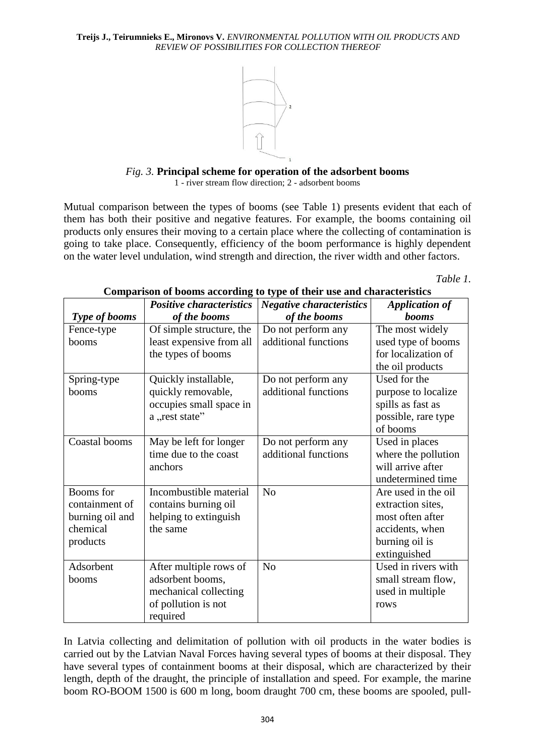

*Fig. 3.* **Principal scheme for operation of the adsorbent booms** 1 - river stream flow direction; 2 - adsorbent booms

Mutual comparison between the types of booms (see Table 1) presents evident that each of them has both their positive and negative features. For example, the booms containing oil products only ensures their moving to a certain place where the collecting of contamination is going to take place. Consequently, efficiency of the boom performance is highly dependent on the water level undulation, wind strength and direction, the river width and other factors.

 *Table 1.*

|                      | <b>Positive characteristics</b> | <b>Negative characteristics</b> | <b>Application of</b> |
|----------------------|---------------------------------|---------------------------------|-----------------------|
| <b>Type of booms</b> | of the booms                    | of the booms                    | <b>booms</b>          |
| Fence-type           | Of simple structure, the        | Do not perform any              | The most widely       |
| booms                | least expensive from all        | additional functions            | used type of booms    |
|                      | the types of booms              |                                 | for localization of   |
|                      |                                 |                                 | the oil products      |
| Spring-type          | Quickly installable,            | Do not perform any              | Used for the          |
| booms                | quickly removable,              | additional functions            | purpose to localize   |
|                      | occupies small space in         |                                 | spills as fast as     |
|                      | a "rest state"                  |                                 | possible, rare type   |
|                      |                                 |                                 | of booms              |
| Coastal booms        | May be left for longer          | Do not perform any              | Used in places        |
|                      | time due to the coast           | additional functions            | where the pollution   |
|                      | anchors                         |                                 | will arrive after     |
|                      |                                 |                                 | undetermined time     |
| Booms for            | Incombustible material          | N <sub>o</sub>                  | Are used in the oil   |
| containment of       | contains burning oil            |                                 | extraction sites,     |
| burning oil and      | helping to extinguish           |                                 | most often after      |
| chemical             | the same                        |                                 | accidents, when       |
| products             |                                 |                                 | burning oil is        |
|                      |                                 |                                 | extinguished          |
| Adsorbent            | After multiple rows of          | N <sub>o</sub>                  | Used in rivers with   |
| booms                | adsorbent booms,                |                                 | small stream flow,    |
|                      | mechanical collecting           |                                 | used in multiple      |
|                      | of pollution is not             |                                 | rows                  |
|                      | required                        |                                 |                       |

**Comparison of booms according to type of their use and characteristics**

In Latvia collecting and delimitation of pollution with oil products in the water bodies is carried out by the Latvian Naval Forces having several types of booms at their disposal. They have several types of containment booms at their disposal, which are characterized by their length, depth of the draught, the principle of installation and speed. For example, the marine boom RO-BOOM 1500 is 600 m long, boom draught 700 cm, these booms are spooled, pull-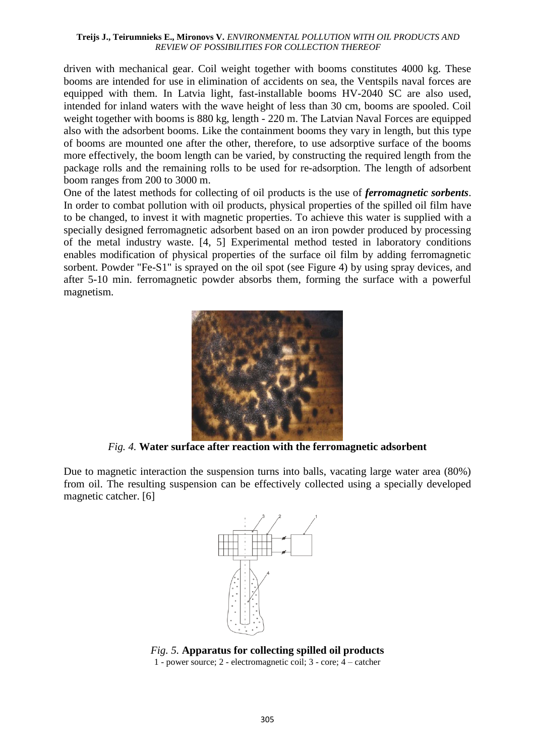driven with mechanical gear. Coil weight together with booms constitutes 4000 kg. These booms are intended for use in elimination of accidents on sea, the Ventspils naval forces are equipped with them. In Latvia light, fast-installable booms HV-2040 SC are also used, intended for inland waters with the wave height of less than 30 cm, booms are spooled. Coil weight together with booms is 880 kg, length - 220 m. The Latvian Naval Forces are equipped also with the adsorbent booms. Like the containment booms they vary in length, but this type of booms are mounted one after the other, therefore, to use adsorptive surface of the booms more effectively, the boom length can be varied, by constructing the required length from the package rolls and the remaining rolls to be used for re-adsorption. The length of adsorbent boom ranges from 200 to 3000 m.

One of the latest methods for collecting of oil products is the use of *ferromagnetic sorbents*. In order to combat pollution with oil products, physical properties of the spilled oil film have to be changed, to invest it with magnetic properties. To achieve this water is supplied with a specially designed ferromagnetic adsorbent based on an iron powder produced by processing of the metal industry waste. [4, 5] Experimental method tested in laboratory conditions enables modification of physical properties of the surface oil film by adding ferromagnetic sorbent. Powder "Fe-S1" is sprayed on the oil spot (see Figure 4) by using spray devices, and after 5-10 min. ferromagnetic powder absorbs them, forming the surface with a powerful magnetism.



*Fig. 4.* **Water surface after reaction with the ferromagnetic adsorbent**

Due to magnetic interaction the suspension turns into balls, vacating large water area (80%) from oil. The resulting suspension can be effectively collected using a specially developed magnetic catcher. [6]



*Fig. 5.* **Apparatus for collecting spilled oil products** 1 - power source; 2 - electromagnetic coil; 3 - core; 4 – catcher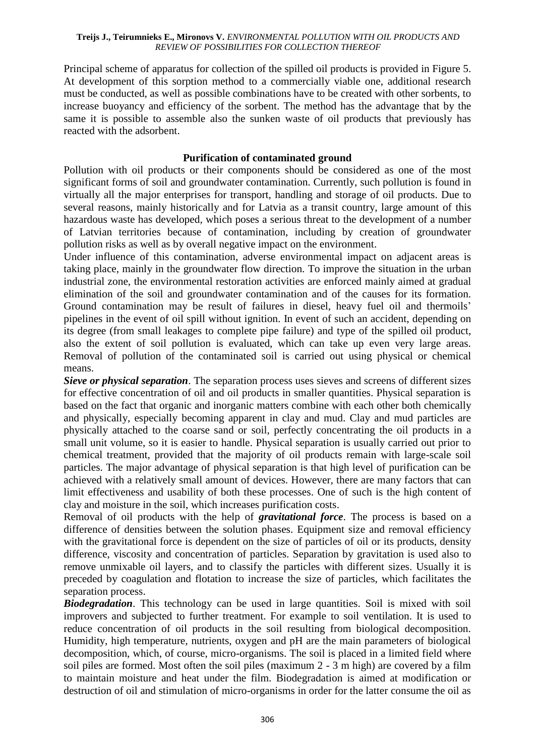Principal scheme of apparatus for collection of the spilled oil products is provided in Figure 5. At development of this sorption method to a commercially viable one, additional research must be conducted, as well as possible combinations have to be created with other sorbents, to increase buoyancy and efficiency of the sorbent. The method has the advantage that by the same it is possible to assemble also the sunken waste of oil products that previously has reacted with the adsorbent.

# **Purification of contaminated ground**

Pollution with oil products or their components should be considered as one of the most significant forms of soil and groundwater contamination. Currently, such pollution is found in virtually all the major enterprises for transport, handling and storage of oil products. Due to several reasons, mainly historically and for Latvia as a transit country, large amount of this hazardous waste has developed, which poses a serious threat to the development of a number of Latvian territories because of contamination, including by creation of groundwater pollution risks as well as by overall negative impact on the environment.

Under influence of this contamination, adverse environmental impact on adjacent areas is taking place, mainly in the groundwater flow direction. To improve the situation in the urban industrial zone, the environmental restoration activities are enforced mainly aimed at gradual elimination of the soil and groundwater contamination and of the causes for its formation. Ground contamination may be result of failures in diesel, heavy fuel oil and thermoils' pipelines in the event of oil spill without ignition. In event of such an accident, depending on its degree (from small leakages to complete pipe failure) and type of the spilled oil product, also the extent of soil pollution is evaluated, which can take up even very large areas. Removal of pollution of the contaminated soil is carried out using physical or chemical means.

*Sieve or physical separation*. The separation process uses sieves and screens of different sizes for effective concentration of oil and oil products in smaller quantities. Physical separation is based on the fact that organic and inorganic matters combine with each other both chemically and physically, especially becoming apparent in clay and mud. Clay and mud particles are physically attached to the coarse sand or soil, perfectly concentrating the oil products in a small unit volume, so it is easier to handle. Physical separation is usually carried out prior to chemical treatment, provided that the majority of oil products remain with large-scale soil particles. The major advantage of physical separation is that high level of purification can be achieved with a relatively small amount of devices. However, there are many factors that can limit effectiveness and usability of both these processes. One of such is the high content of clay and moisture in the soil, which increases purification costs.

Removal of oil products with the help of *gravitational force*. The process is based on a difference of densities between the solution phases. Equipment size and removal efficiency with the gravitational force is dependent on the size of particles of oil or its products, density difference, viscosity and concentration of particles. Separation by gravitation is used also to remove unmixable oil layers, and to classify the particles with different sizes. Usually it is preceded by coagulation and flotation to increase the size of particles, which facilitates the separation process.

**Biodegradation**. This technology can be used in large quantities. Soil is mixed with soil improvers and subjected to further treatment. For example to soil ventilation. It is used to reduce concentration of oil products in the soil resulting from biological decomposition. Humidity, high temperature, nutrients, oxygen and pH are the main parameters of biological decomposition, which, of course, micro-organisms. The soil is placed in a limited field where soil piles are formed. Most often the soil piles (maximum 2 - 3 m high) are covered by a film to maintain moisture and heat under the film. Biodegradation is aimed at modification or destruction of oil and stimulation of micro-organisms in order for the latter consume the oil as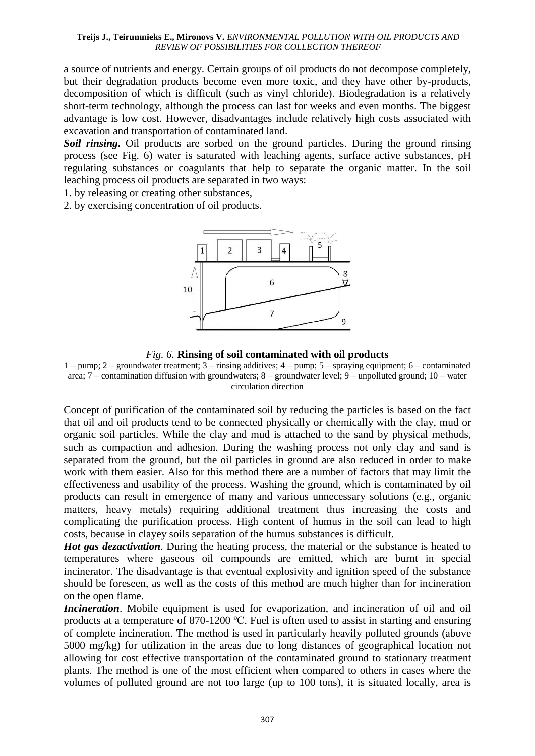a source of nutrients and energy. Certain groups of oil products do not decompose completely, but their degradation products become even more toxic, and they have other by-products, decomposition of which is difficult (such as vinyl chloride). Biodegradation is a relatively short-term technology, although the process can last for weeks and even months. The biggest advantage is low cost. However, disadvantages include relatively high costs associated with excavation and transportation of contaminated land.

*Soil rinsing***.** Oil products are sorbed on the ground particles. During the ground rinsing process (see Fig. 6) water is saturated with leaching agents, surface active substances, pH regulating substances or coagulants that help to separate the organic matter. In the soil leaching process oil products are separated in two ways:

1. by releasing or creating other substances,

2. by exercising concentration of oil products.





1 – pump; 2 – groundwater treatment; 3 – rinsing additives; 4 – pump; 5 – spraying equipment; 6 – contaminated area; 7 – contamination diffusion with groundwaters; 8 – groundwater level; 9 – unpolluted ground; 10 – water circulation direction

Concept of purification of the contaminated soil by reducing the particles is based on the fact that oil and oil products tend to be connected physically or chemically with the clay, mud or organic soil particles. While the clay and mud is attached to the sand by physical methods, such as compaction and adhesion. During the washing process not only clay and sand is separated from the ground, but the oil particles in ground are also reduced in order to make work with them easier. Also for this method there are a number of factors that may limit the effectiveness and usability of the process. Washing the ground, which is contaminated by oil products can result in emergence of many and various unnecessary solutions (e.g., organic matters, heavy metals) requiring additional treatment thus increasing the costs and complicating the purification process. High content of humus in the soil can lead to high costs, because in clayey soils separation of the humus substances is difficult.

*Hot gas dezactivation.* During the heating process, the material or the substance is heated to temperatures where gaseous oil compounds are emitted, which are burnt in special incinerator. The disadvantage is that eventual explosivity and ignition speed of the substance should be foreseen, as well as the costs of this method are much higher than for incineration on the open flame.

*Incineration*. Mobile equipment is used for evaporization, and incineration of oil and oil products at a temperature of 870-1200 ºC. Fuel is often used to assist in starting and ensuring of complete incineration. The method is used in particularly heavily polluted grounds (above 5000 mg/kg) for utilization in the areas due to long distances of geographical location not allowing for cost effective transportation of the contaminated ground to stationary treatment plants. The method is one of the most efficient when compared to others in cases where the volumes of polluted ground are not too large (up to 100 tons), it is situated locally, area is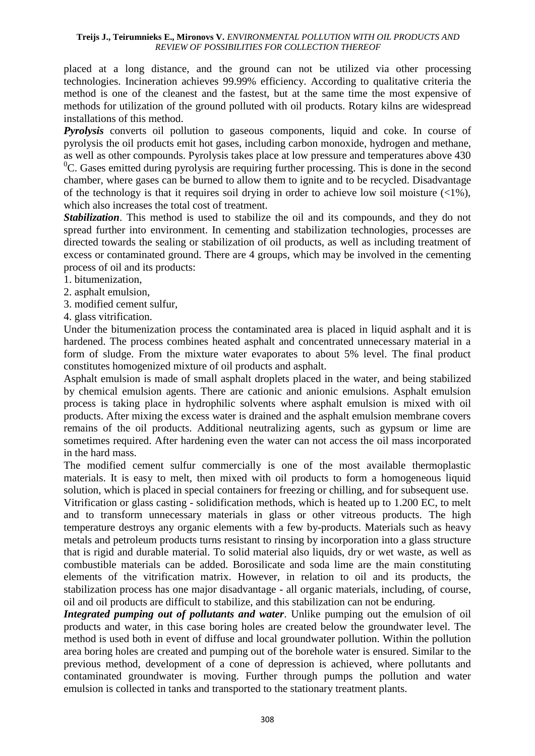placed at a long distance, and the ground can not be utilized via other processing technologies. Incineration achieves 99.99% efficiency. According to qualitative criteria the method is one of the cleanest and the fastest, but at the same time the most expensive of methods for utilization of the ground polluted with oil products. Rotary kilns are widespread installations of this method.

*Pyrolysis* converts oil pollution to gaseous components, liquid and coke. In course of pyrolysis the oil products emit hot gases, including carbon monoxide, hydrogen and methane, as well as other compounds. Pyrolysis takes place at low pressure and temperatures above 430  ${}^{0}C$ . Gases emitted during pyrolysis are requiring further processing. This is done in the second chamber, where gases can be burned to allow them to ignite and to be recycled. Disadvantage of the technology is that it requires soil drying in order to achieve low soil moisture  $\left(\langle 1\% \right)$ , which also increases the total cost of treatment.

**Stabilization**. This method is used to stabilize the oil and its compounds, and they do not spread further into environment. In cementing and stabilization technologies, processes are directed towards the sealing or stabilization of oil products, as well as including treatment of excess or contaminated ground. There are 4 groups, which may be involved in the cementing process of oil and its products:

- 1. bitumenization,
- 2. asphalt emulsion,
- 3. modified cement sulfur,
- 4. glass vitrification.

Under the bitumenization process the contaminated area is placed in liquid asphalt and it is hardened. The process combines heated asphalt and concentrated unnecessary material in a form of sludge. From the mixture water evaporates to about 5% level. The final product constitutes homogenized mixture of oil products and asphalt.

Asphalt emulsion is made of small asphalt droplets placed in the water, and being stabilized by chemical emulsion agents. There are cationic and anionic emulsions. Asphalt emulsion process is taking place in hydrophilic solvents where asphalt emulsion is mixed with oil products. After mixing the excess water is drained and the asphalt emulsion membrane covers remains of the oil products. Additional neutralizing agents, such as gypsum or lime are sometimes required. After hardening even the water can not access the oil mass incorporated in the hard mass.

The modified cement sulfur commercially is one of the most available thermoplastic materials. It is easy to melt, then mixed with oil products to form a homogeneous liquid solution, which is placed in special containers for freezing or chilling, and for subsequent use.

Vitrification or glass casting - solidification methods, which is heated up to 1.200 EC, to melt and to transform unnecessary materials in glass or other vitreous products. The high temperature destroys any organic elements with a few by-products. Materials such as heavy metals and petroleum products turns resistant to rinsing by incorporation into a glass structure that is rigid and durable material. To solid material also liquids, dry or wet waste, as well as combustible materials can be added. Borosilicate and soda lime are the main constituting elements of the vitrification matrix. However, in relation to oil and its products, the stabilization process has one major disadvantage - all organic materials, including, of course, oil and oil products are difficult to stabilize, and this stabilization can not be enduring.

*Integrated pumping out of pollutants and water*. Unlike pumping out the emulsion of oil products and water, in this case boring holes are created below the groundwater level. The method is used both in event of diffuse and local groundwater pollution. Within the pollution area boring holes are created and pumping out of the borehole water is ensured. Similar to the previous method, development of a cone of depression is achieved, where pollutants and contaminated groundwater is moving. Further through pumps the pollution and water emulsion is collected in tanks and transported to the stationary treatment plants.